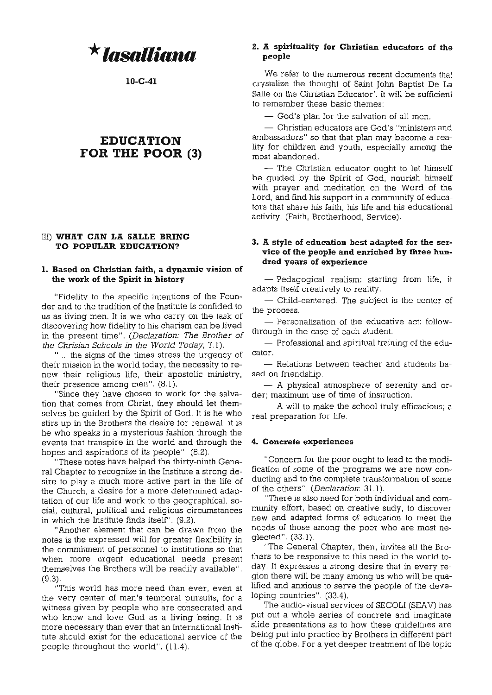**\****lustilliann*

**lO-C-41**

# **EDUCATION FOR THE POOR (3)**

## **1lI) WHAT CAN LA SALLE BRING TO POPULAR EDUCATION?**

## **1. Based on Christian faith, a dynamic vision of the work of the Spirit in history**

"Fidelity to the specific intentions of the Founder and to the tradition of the Institute is confided to us as living men. It is we who carry on the task of discovering how fidelity to his charism can be lived in the present time". (Declaration: The Brother of the Chrisian Schools in the World Today, 7.1).

"... the signs of the times stress the urgency of their mission in the world today, the necessity to renew their religious life, their apostolic ministry, their presence among men". (8.1).

"Since they have chosen to work for the salvation that comes from Christ, they should let themselves be guided by the Spirit of God. It is he who stirs up in the Brothers the desire for renewal; **it** is he who speaks in a mysterious fashion through the events that transpire in the world and through the hopes and aspirations of its people". (8.2).

"These notes have helped the thirty-ninth General Chapter to recognize in the Institute a strong desire to play a much more active part in the life of the Church, a desire for a more determined adaptation of our life and work to the geographical, social, cultural, political and religious circumstances in which the Institute finds itself". (9.2).

"Another element that can be drawn from the notes is the expressed will for greater flexibility in the commitment of personnel to institutions so that when more urgent educational needs present themselves the Brothers will be readily available". (9.3).

"This world has more need than ever, even at the very center of man's temporal pursuits, for a witness given by people who are consecrated and who know and love God as a living being. It is more necessary than ever that an international Institute should exist for the educational service of the people throughout the world". (11.4).

# **2. A spirituality for Christian educators of the people**

We refer to the numerous recent documents that crystalize the thought of Saint John Baptist De La Salle on the Christian Educator'. It will be sufficient to remember these basic themes:

 $-$  God's plan for the salvation of all men.

- Christian educators are God's "ministers and ambassadors" so that that plan may become a reality for children and youth, especially among the most abandoned.

- The Christian educator ought to let himself be guided by the Spirit of God, nourish himself with prayer and meditation on the Word of the Lord, and find his support in a community of educators that share his faith, his life and his educational activity. (Faith, Brotherhood, Service).

# **3. A style of education best adapted for the service of the people and enriched by three hundred years of experience**

- Pedagogical realism: starting from life, it adapts itself creatively to reality.

- Child-centered. The subject is the center of the process.

- Personalization of the educative act: followthrough in the case of each student.

- Professional and spiritual training of the educator.

- Relations between teacher and students based on friendship.

 $-$  A physical atmosphere of serenity and order; maximum use of time of instruction.

 $-$  A will to make the school truly efficacious; a real preparation for life.

## **4. Concrete experiences**

"Concern for the poor ought to lead to the modification of some of the programs we are now conducting and to the complete transformation of some of the others". (Declaration: 31.1).

"There is also need for both individual and community effort, based on creative sudy, to discover new and adapted forms of education to meet the needs of those among the poor who are most neglected". (33.1).

"The General Chapter, then, invites all the Brothers to be responsive to this need in the world today. It expresses a strong desire that in every region there will be many among us who will be qualified and anxious to serve the people of the developing countries". (33.4).

The audio-visual services of SECOLI (SEAV) has put out a whole series of concrete and imaginate slide presentations as to how these guidelines are being put into practice by Brothers in different part of the globe. For a yet deeper treatment of the topic